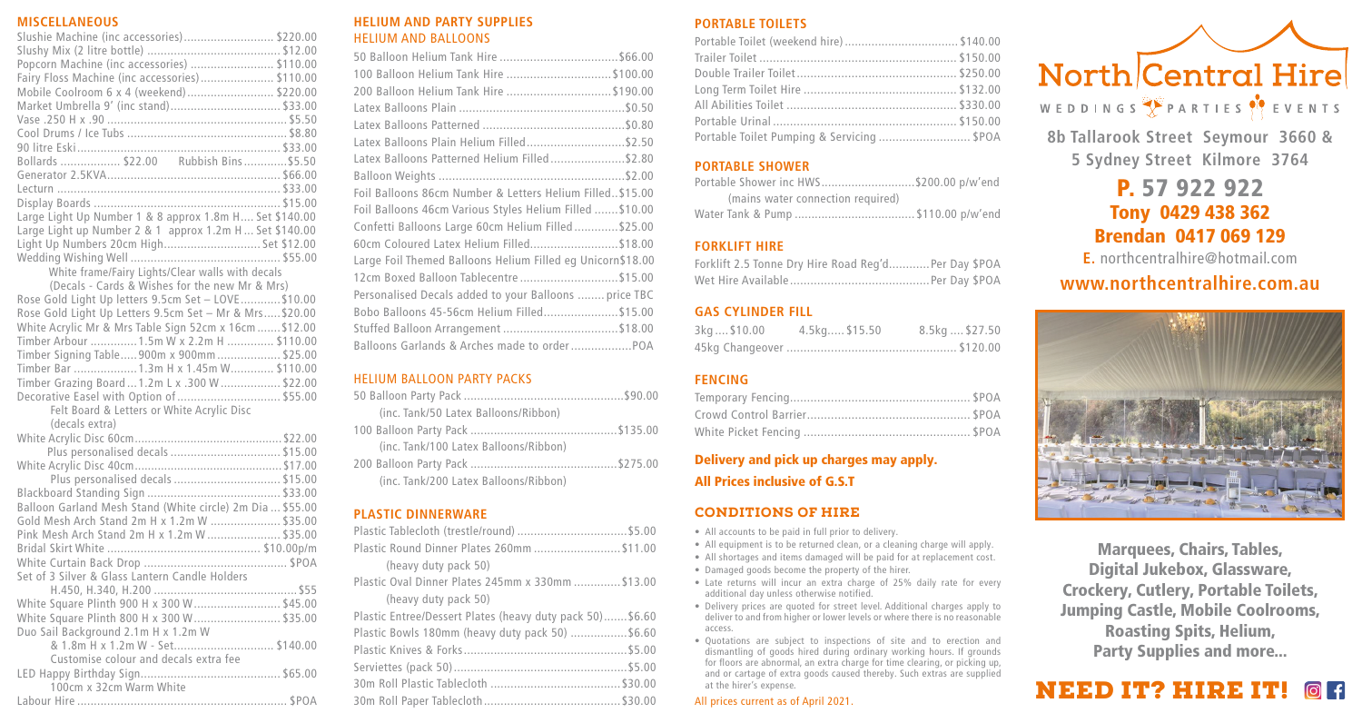#### **MISCELLANEOUS**

| Slushie Machine (inc accessories)\$220.00               |  |
|---------------------------------------------------------|--|
|                                                         |  |
| Popcorn Machine (inc accessories)  \$110.00             |  |
| Fairy Floss Machine (inc accessories)\$110.00           |  |
| Mobile Coolroom 6 x 4 (weekend)  \$220.00               |  |
| Market Umbrella 9' (inc stand)\$33.00                   |  |
|                                                         |  |
|                                                         |  |
|                                                         |  |
| Bollards  \$22.00 Rubbish Bins  \$5.50                  |  |
|                                                         |  |
|                                                         |  |
|                                                         |  |
| Large Light Up Number 1 & 8 approx 1.8m H Set \$140.00  |  |
| Large Light up Number 2 & 1 approx 1.2m H  Set \$140.00 |  |
| Light Up Numbers 20cm High Set \$12.00                  |  |
|                                                         |  |
| White frame/Fairy Lights/Clear walls with decals        |  |
| (Decals - Cards & Wishes for the new Mr & Mrs)          |  |
| Rose Gold Light Up letters 9.5cm Set - LOVE \$10.00     |  |
| Rose Gold Light Up Letters 9.5cm Set - Mr & Mrs \$20.00 |  |
| White Acrylic Mr & Mrs Table Sign 52cm x 16cm  \$12.00  |  |
| Timber Arbour  1.5m W x 2.2m H  \$110.00                |  |
|                                                         |  |

#### Timber Arbour .............. 1.5m W x 2.2m H .............. \$110.00 Timber Signing Table..... 900m x 900mm ................... \$25.00 Timber Bar ................... 1.3m H x 1.45m W............. \$110.00 Timber Grazing Board ... 1.2m L x .300 W.................. \$22.00 Decorative Easel with Option of ............................... \$55.00 Felt Board & Letters or White Acrylic Disc (decals extra) White Acrylic Disc 60cm............................................. \$22.00 Plus personalised decals ................................. \$15.00 White Acrylic Disc 40cm............................................. \$17.00 Plus personalised decals ................................ \$15.00 Blackboard Standing Sign ........................................ \$33.00 Balloon Garland Mesh Stand (White circle) 2m Dia ... \$55.00 Gold Mesh Arch Stand 2m H x 1.2m W ..................... \$35.00 Pink Mesh Arch Stand 2m H x 1.2m W ...................... \$35.00 Bridal Skirt White .............................................. \$10.00p/m

| Set of 3 Silver & Glass Lantern Candle Holders |  |
|------------------------------------------------|--|
|                                                |  |
| White Square Plinth 900 H x 300 W  \$45.00     |  |
| White Square Plinth 800 H x 300 W  \$35.00     |  |
| Duo Sail Background 2.1m H x 1.2m W            |  |
| & 1.8m H x 1.2m W - Set \$140.00               |  |
| Customise colour and decals extra fee          |  |
|                                                |  |
| 100cm x 32cm Warm White                        |  |
|                                                |  |
|                                                |  |

#### **HELIUM AND PARTY SUPPLIES** HELIUM AND BALLOONS

#### HELIUM BALLOON PARTY PACKS

| (inc. Tank/50 Latex Balloons/Ribbon)  |  |
|---------------------------------------|--|
|                                       |  |
| (inc. Tank/100 Latex Balloons/Ribbon) |  |
|                                       |  |
| (inc. Tank/200 Latex Balloons/Ribbon) |  |

#### **PLASTIC DINNERWARE**

| Plastic Round Dinner Plates 260mm  \$11.00               |
|----------------------------------------------------------|
| (heavy duty pack 50)                                     |
| Plastic Oval Dinner Plates 245mm x 330mm  \$13.00        |
| (heavy duty pack 50)                                     |
| Plastic Entree/Dessert Plates (heavy duty pack 50)\$6.60 |
| Plastic Bowls 180mm (heavy duty pack 50) \$6.60          |
|                                                          |
|                                                          |
|                                                          |
|                                                          |

#### **PORTABLE TOILETS**

| Portable Toilet (weekend hire) \$140.00    |  |
|--------------------------------------------|--|
|                                            |  |
|                                            |  |
|                                            |  |
|                                            |  |
|                                            |  |
| Portable Toilet Pumping & Servicing  \$POA |  |
|                                            |  |

# **PORTABLE SHOWER**

| Portable Shower inc HWS\$200.00 p/w'end |
|-----------------------------------------|
| (mains water connection required)       |
| Water Tank & Pump  \$110.00 p/w'end     |

#### **FORKLIFT HIRE**

| Forklift 2.5 Tonne Dry Hire Road Reg'dPer Day \$POA |  |
|-----------------------------------------------------|--|
|                                                     |  |

#### **GAS CYLINDER FILL**

| 3kg  \$10.00 | 4.5kg \$15.50 | 8.5kg  \$27.50 |
|--------------|---------------|----------------|
|              |               |                |

# **FENCING**

# Delivery and pick up charges may apply. All Prices inclusive of G.S.T

## CONDITIONS OF HIRE

- All accounts to be paid in full prior to delivery.
- All equipment is to be returned clean, or a cleaning charge will apply.
- All shortages and items damaged will be paid for at replacement cost.
- Damaged goods become the property of the hirer.
- Late returns will incur an extra charge of 25% daily rate for every additional day unless otherwise notified.
- Delivery prices are quoted for street level. Additional charges apply to deliver to and from higher or lower levels or where there is no reasonable access.
- Quotations are subject to inspections of site and to erection and dismantling of goods hired during ordinary working hours. If grounds for floors are abnormal, an extra charge for time clearing, or picking up, and or cartage of extra goods caused thereby. Such extras are supplied at the hirer's expense.



**8b Tallarook Street Seymour 3660 & 5 Sydney Street Kilmore 3764**

# P. 57 922 922 Tony 0429 438 362 Brendan 0417 069 129

**E.** northcentralhire@hotmail.com

# **www.northcentralhire.com.au**



Marquees, Chairs, Tables, Digital Jukebox, Glassware, Crockery, Cutlery, Portable Toilets, Jumping Castle, Mobile Coolrooms, Roasting Spits, Helium, Party Supplies and more...

# NEED IT? HIRE IT!